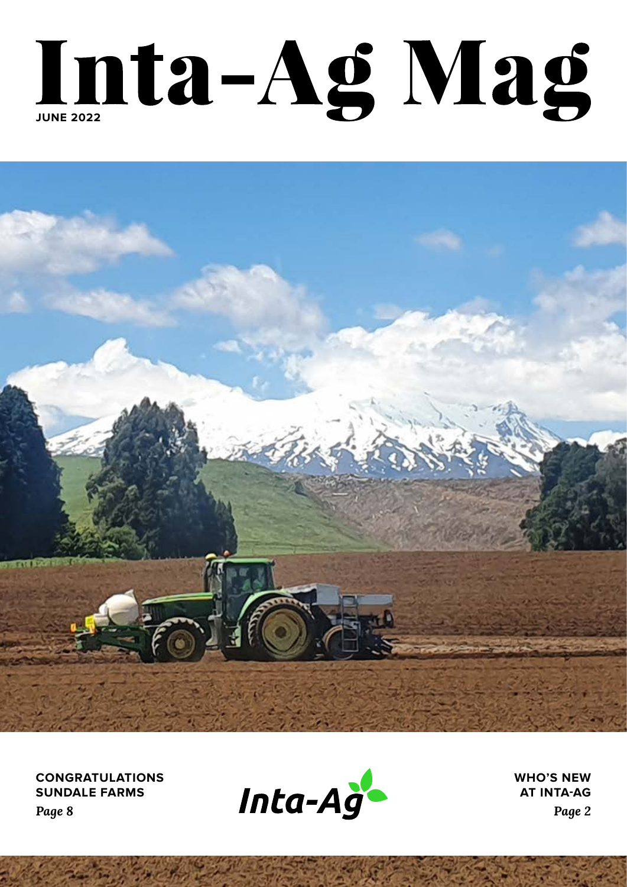# Inta-Ag Mag



**CONGRATULATIONS SUNDALE FARMS** *Page 8*



**WHO'S NEW AT INTA-AG** *Page 2*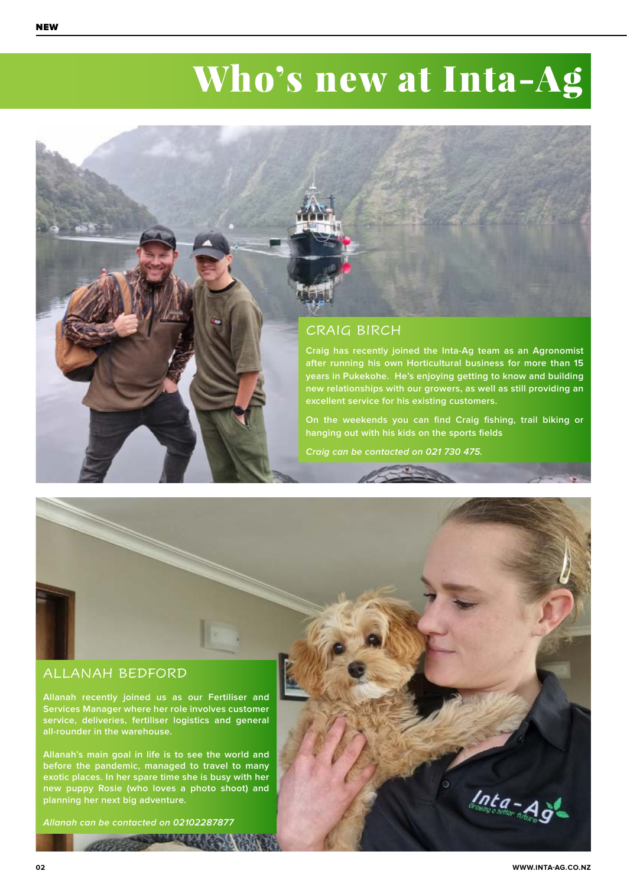### Who's new at Inta-Ag



### ALLANAH BEDFORD

**Allanah recently joined us as our Fertiliser and Services Manager where her role involves customer service, deliveries, fertiliser logistics and general all-rounder in the warehouse.**

**Allanah's main goal in life is to see the world and before the pandemic, managed to travel to many exotic places. In her spare time she is busy with her new puppy Rosie (who loves a photo shoot) and planning her next big adventure.**

**Allanah can be contacted on 02102287877**

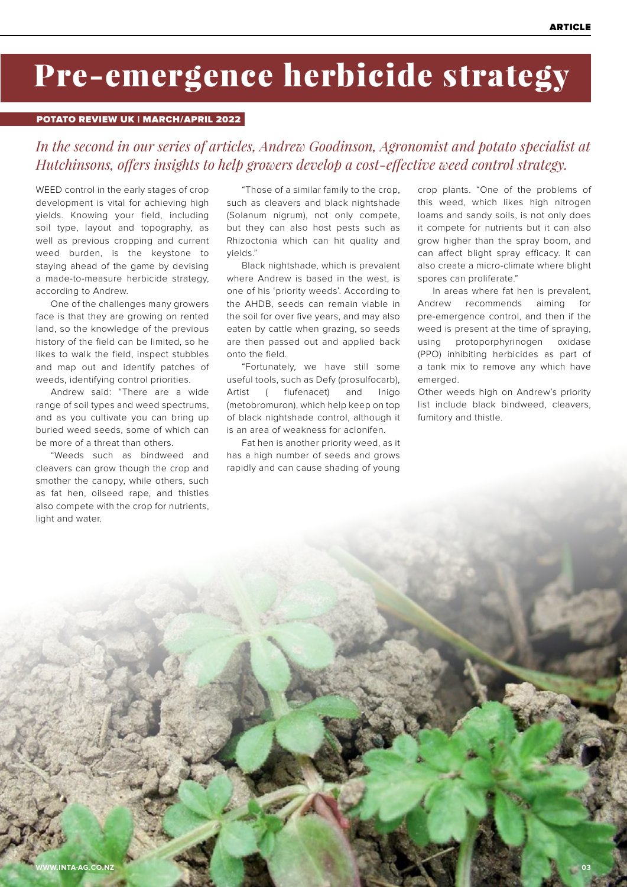### Pre-emergence herbicide strategy

### POTATO REVIEW UK | MARCH/APRIL 2022

### *In the second in our series of articles, Andrew Goodinson, Agronomist and potato specialist at Hutchinsons, offers insights to help growers develop a cost-effective weed control strategy.*

WEED control in the early stages of crop development is vital for achieving high yields. Knowing your field, including soil type, layout and topography, as well as previous cropping and current weed burden, is the keystone to staying ahead of the game by devising a made-to-measure herbicide strategy, according to Andrew.

One of the challenges many growers face is that they are growing on rented land, so the knowledge of the previous history of the field can be limited, so he likes to walk the field, inspect stubbles and map out and identify patches of weeds, identifying control priorities.

Andrew said: "There are a wide range of soil types and weed spectrums, and as you cultivate you can bring up buried weed seeds, some of which can be more of a threat than others.

"Weeds such as bindweed and cleavers can grow though the crop and smother the canopy, while others, such as fat hen, oilseed rape, and thistles also compete with the crop for nutrients, light and water.

"Those of a similar family to the crop, such as cleavers and black nightshade (Solanum nigrum), not only compete, but they can also host pests such as Rhizoctonia which can hit quality and yields."

Black nightshade, which is prevalent where Andrew is based in the west, is one of his 'priority weeds'. According to the AHDB, seeds can remain viable in the soil for over five years, and may also eaten by cattle when grazing, so seeds are then passed out and applied back onto the field.

"Fortunately, we have still some useful tools, such as Defy (prosulfocarb), Artist ( flufenacet) and Inigo (metobromuron), which help keep on top of black nightshade control, although it is an area of weakness for aclonifen.

Fat hen is another priority weed, as it has a high number of seeds and grows rapidly and can cause shading of young

crop plants. "One of the problems of this weed, which likes high nitrogen loams and sandy soils, is not only does it compete for nutrients but it can also grow higher than the spray boom, and can affect blight spray efficacy. It can also create a micro-climate where blight spores can proliferate."

In areas where fat hen is prevalent, Andrew recommends aiming for pre-emergence control, and then if the weed is present at the time of spraying, using protoporphyrinogen oxidase (PPO) inhibiting herbicides as part of a tank mix to remove any which have emerged.

Other weeds high on Andrew's priority list include black bindweed, cleavers, fumitory and thistle.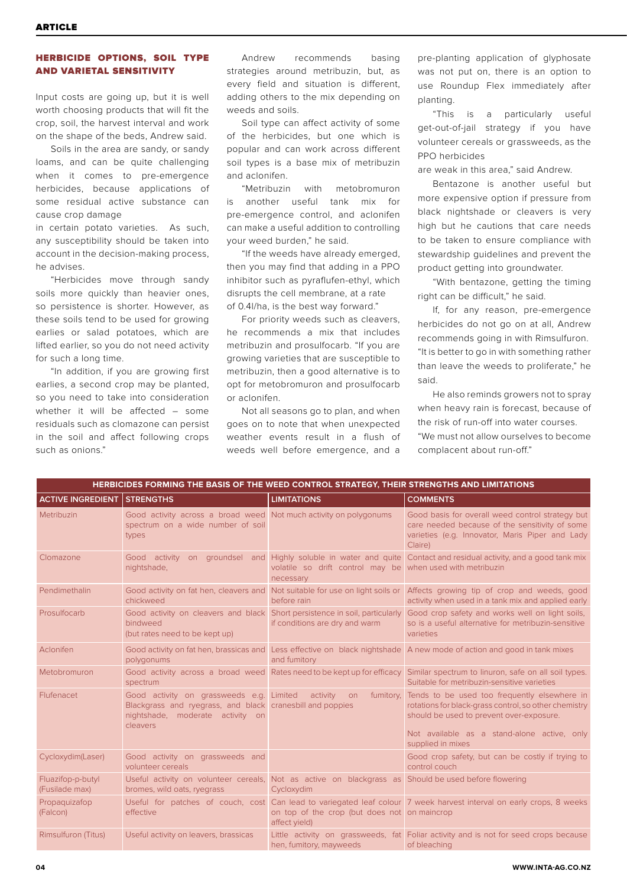### HERBICIDE OPTIONS, SOIL TYPE AND VARIETAL SENSITIVITY

Input costs are going up, but it is well worth choosing products that will fit the crop, soil, the harvest interval and work on the shape of the beds, Andrew said.

Soils in the area are sandy, or sandy loams, and can be quite challenging when it comes to pre-emergence herbicides, because applications of some residual active substance can cause crop damage

in certain potato varieties. As such, any susceptibility should be taken into account in the decision-making process, he advises.

"Herbicides move through sandy soils more quickly than heavier ones, so persistence is shorter. However, as these soils tend to be used for growing earlies or salad potatoes, which are lifted earlier, so you do not need activity for such a long time.

"In addition, if you are growing first earlies, a second crop may be planted, so you need to take into consideration whether it will be affected – some residuals such as clomazone can persist in the soil and affect following crops such as onions."

Andrew recommends basing strategies around metribuzin, but, as every field and situation is different, adding others to the mix depending on weeds and soils.

Soil type can affect activity of some of the herbicides, but one which is popular and can work across different soil types is a base mix of metribuzin and aclonifen.

"Metribuzin with metobromuron is another useful tank mix for pre-emergence control, and aclonifen can make a useful addition to controlling your weed burden," he said.

"If the weeds have already emerged, then you may find that adding in a PPO inhibitor such as pyraflufen-ethyl, which disrupts the cell membrane, at a rate of 0.4l/ha, is the best way forward."

For priority weeds such as cleavers, he recommends a mix that includes metribuzin and prosulfocarb. "If you are growing varieties that are susceptible to metribuzin, then a good alternative is to opt for metobromuron and prosulfocarb or aclonifen.

Not all seasons go to plan, and when goes on to note that when unexpected weather events result in a flush of weeds well before emergence, and a

pre-planting application of glyphosate was not put on, there is an option to use Roundup Flex immediately after planting.

"This is a particularly useful get-out-of-jail strategy if you have volunteer cereals or grassweeds, as the PPO herbicides

are weak in this area," said Andrew

Bentazone is another useful but more expensive option if pressure from black nightshade or cleavers is very high but he cautions that care needs to be taken to ensure compliance with stewardship guidelines and prevent the product getting into groundwater.

"With bentazone, getting the timing right can be difficult," he said.

If, for any reason, pre-emergence herbicides do not go on at all, Andrew recommends going in with Rimsulfuron. "It is better to go in with something rather than leave the weeds to proliferate," he said.

He also reminds growers not to spray when heavy rain is forecast, because of the risk of run-off into water courses. "We must not allow ourselves to become complacent about run-off."

| <b>HERBICIDES FORMING THE BASIS OF THE WEED CONTROL STRATEGY, THEIR STRENGTHS AND LIMITATIONS</b> |                                                                                                                                                       |                                                                         |                                                                                                                                                                                                                       |  |  |  |  |
|---------------------------------------------------------------------------------------------------|-------------------------------------------------------------------------------------------------------------------------------------------------------|-------------------------------------------------------------------------|-----------------------------------------------------------------------------------------------------------------------------------------------------------------------------------------------------------------------|--|--|--|--|
| <b>ACTIVE INGREDIENT</b>                                                                          | <b>STRENGTHS</b>                                                                                                                                      | <b>LIMITATIONS</b>                                                      | <b>COMMENTS</b>                                                                                                                                                                                                       |  |  |  |  |
| Metribuzin                                                                                        | Good activity across a broad weed Not much activity on polygonums<br>spectrum on a wide number of soil<br>types                                       |                                                                         | Good basis for overall weed control strategy but<br>care needed because of the sensitivity of some<br>varieties (e.g. Innovator, Maris Piper and Lady<br>Claire)                                                      |  |  |  |  |
| Clomazone                                                                                         | nightshade,                                                                                                                                           | volatile so drift control may be when used with metribuzin<br>necessary | Good activity on groundsel and Highly soluble in water and quite Contact and residual activity, and a good tank mix                                                                                                   |  |  |  |  |
| Pendimethalin                                                                                     | chickweed                                                                                                                                             | before rain                                                             | Good activity on fat hen, cleavers and Not suitable for use on light soils or Affects growing tip of crop and weeds, good<br>activity when used in a tank mix and applied early                                       |  |  |  |  |
| Prosulfocarb                                                                                      | Good activity on cleavers and black Short persistence in soil, particularly<br>bindweed<br>(but rates need to be kept up)                             | if conditions are dry and warm                                          | Good crop safety and works well on light soils,<br>so is a useful alternative for metribuzin-sensitive<br>varieties                                                                                                   |  |  |  |  |
| Aclonifen                                                                                         | polygonums                                                                                                                                            | and fumitory                                                            | Good activity on fat hen, brassicas and Less effective on black nightshade A new mode of action and good in tank mixes                                                                                                |  |  |  |  |
| Metobromuron                                                                                      | Good activity across a broad weed Rates need to be kept up for efficacy<br>spectrum                                                                   |                                                                         | Similar spectrum to linuron, safe on all soil types.<br>Suitable for metribuzin-sensitive varieties                                                                                                                   |  |  |  |  |
| Flufenacet                                                                                        | Good activity on grassweeds e.g. Limited<br>Blackgrass and ryegrass, and black cranesbill and poppies<br>nightshade, moderate activity on<br>cleavers | activity on<br>fumitory.                                                | Tends to be used too frequently elsewhere in<br>rotations for black-grass control, so other chemistry<br>should be used to prevent over-exposure.<br>Not available as a stand-alone active, only<br>supplied in mixes |  |  |  |  |
| Cycloxydim(Laser)                                                                                 | Good activity on grassweeds and<br>volunteer cereals                                                                                                  |                                                                         | Good crop safety, but can be costly if trying to<br>control couch                                                                                                                                                     |  |  |  |  |
| Fluazifop-p-butyl<br>(Fusilade max)                                                               | Useful activity on volunteer cereals, Not as active on blackgrass as Should be used before flowering<br>bromes, wild oats, ryegrass                   | Cycloxydim                                                              |                                                                                                                                                                                                                       |  |  |  |  |
| Propaguizafop<br>(Falcon)                                                                         | effective                                                                                                                                             | on top of the crop (but does not on maincrop<br>affect yield)           | Useful for patches of couch, cost Can lead to variegated leaf colour 7 week harvest interval on early crops, 8 weeks                                                                                                  |  |  |  |  |
| Rimsulfuron (Titus)                                                                               | Useful activity on leavers, brassicas                                                                                                                 | hen, fumitory, mayweeds                                                 | Little activity on grassweeds, fat Foliar activity and is not for seed crops because<br>of bleaching                                                                                                                  |  |  |  |  |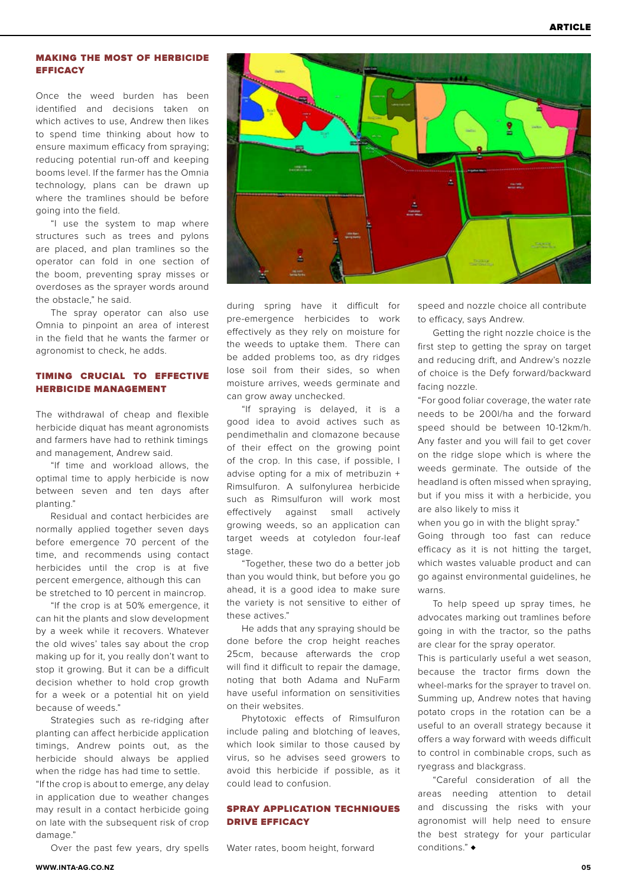### MAKING THE MOST OF HERBICIDE **EFFICACY**

Once the weed burden has been identified and decisions taken on which actives to use, Andrew then likes to spend time thinking about how to ensure maximum efficacy from spraying; reducing potential run-off and keeping booms level. If the farmer has the Omnia technology, plans can be drawn up where the tramlines should be before going into the field.

"I use the system to map where structures such as trees and pylons are placed, and plan tramlines so the operator can fold in one section of the boom, preventing spray misses or overdoses as the sprayer words around the obstacle," he said.

The spray operator can also use Omnia to pinpoint an area of interest in the field that he wants the farmer or agronomist to check, he adds.

### TIMING CRUCIAL TO EFFECTIVE HERBICIDE MANAGEMENT

The withdrawal of cheap and flexible herbicide diquat has meant agronomists and farmers have had to rethink timings and management, Andrew said.

"If time and workload allows, the optimal time to apply herbicide is now between seven and ten days after planting."

Residual and contact herbicides are normally applied together seven days before emergence 70 percent of the time, and recommends using contact herbicides until the crop is at five percent emergence, although this can be stretched to 10 percent in maincrop.

"If the crop is at 50% emergence, it can hit the plants and slow development by a week while it recovers. Whatever the old wives' tales say about the crop making up for it, you really don't want to stop it growing. But it can be a difficult decision whether to hold crop growth for a week or a potential hit on yield because of weeds."

Strategies such as re-ridging after planting can affect herbicide application timings, Andrew points out, as the herbicide should always be applied when the ridge has had time to settle. "If the crop is about to emerge, any delay in application due to weather changes may result in a contact herbicide going on late with the subsequent risk of crop damage."

Over the past few years, dry spells



during spring have it difficult for pre-emergence herbicides to work effectively as they rely on moisture for the weeds to uptake them. There can be added problems too, as dry ridges lose soil from their sides, so when moisture arrives, weeds germinate and can grow away unchecked.

"If spraying is delayed, it is a good idea to avoid actives such as pendimethalin and clomazone because of their effect on the growing point of the crop. In this case, if possible, I advise opting for a mix of metribuzin + Rimsulfuron. A sulfonylurea herbicide such as Rimsulfuron will work most effectively against small actively growing weeds, so an application can target weeds at cotyledon four-leaf stage.

"Together, these two do a better job than you would think, but before you go ahead, it is a good idea to make sure the variety is not sensitive to either of these actives."

He adds that any spraying should be done before the crop height reaches 25cm, because afterwards the crop will find it difficult to repair the damage, noting that both Adama and NuFarm have useful information on sensitivities on their websites.

Phytotoxic effects of Rimsulfuron include paling and blotching of leaves, which look similar to those caused by virus, so he advises seed growers to avoid this herbicide if possible, as it could lead to confusion.

### SPRAY APPLICATION TECHNIQUES DRIVE EFFICACY

Water rates, boom height, forward

speed and nozzle choice all contribute to efficacy, says Andrew.

Getting the right nozzle choice is the first step to getting the spray on target and reducing drift, and Andrew's nozzle of choice is the Defy forward/backward facing nozzle.

"For good foliar coverage, the water rate needs to be 200l/ha and the forward speed should be between 10-12km/h. Any faster and you will fail to get cover on the ridge slope which is where the weeds germinate. The outside of the headland is often missed when spraying, but if you miss it with a herbicide, you are also likely to miss it

when you go in with the blight spray." Going through too fast can reduce efficacy as it is not hitting the target, which wastes valuable product and can go against environmental guidelines, he warns.

To help speed up spray times, he advocates marking out tramlines before going in with the tractor, so the paths are clear for the spray operator.

This is particularly useful a wet season, because the tractor firms down the wheel-marks for the sprayer to travel on. Summing up, Andrew notes that having potato crops in the rotation can be a useful to an overall strategy because it offers a way forward with weeds difficult to control in combinable crops, such as ryegrass and blackgrass.

"Careful consideration of all the areas needing attention to detail and discussing the risks with your agronomist will help need to ensure the best strategy for your particular conditions." ♦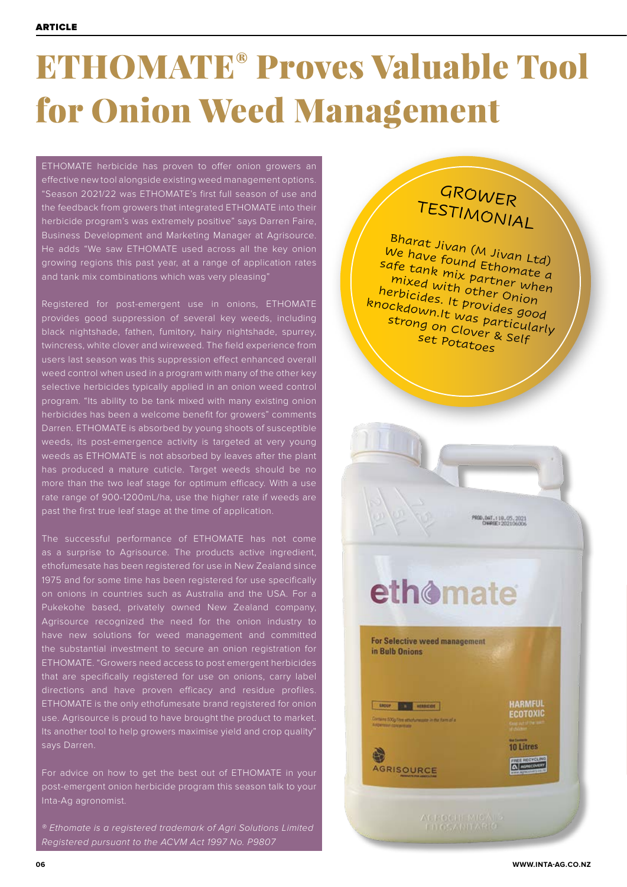### ETHOMATE® Proves Valuable Tool for Onion Weed Management

ETHOMATE herbicide has proven to offer onion growers an effective new tool alongside existing weed management options. "Season 2021/22 was ETHOMATE's first full season of use and the feedback from growers that integrated ETHOMATE into their herbicide program's was extremely positive" says Darren Faire, Business Development and Marketing Manager at Agrisource. He adds "We saw ETHOMATE used across all the key onion growing regions this past year, at a range of application rates and tank mix combinations which was very pleasing"

Registered for post-emergent use in onions, ETHOMATE provides good suppression of several key weeds, including black nightshade, fathen, fumitory, hairy nightshade, spurrey, twincress, white clover and wireweed. The field experience from users last season was this suppression effect enhanced overall weed control when used in a program with many of the other key selective herbicides typically applied in an onion weed control program. "Its ability to be tank mixed with many existing onion herbicides has been a welcome benefit for growers" comments Darren. ETHOMATE is absorbed by young shoots of susceptible weeds, its post-emergence activity is targeted at very young weeds as ETHOMATE is not absorbed by leaves after the plant has produced a mature cuticle. Target weeds should be no more than the two leaf stage for optimum efficacy. With a use rate range of 900-1200mL/ha, use the higher rate if weeds are past the first true leaf stage at the time of application.

The successful performance of ETHOMATE has not come as a surprise to Agrisource. The products active ingredient, ethofumesate has been registered for use in New Zealand since 1975 and for some time has been registered for use specifically on onions in countries such as Australia and the USA. For a Pukekohe based, privately owned New Zealand company, Agrisource recognized the need for the onion industry to have new solutions for weed management and committed the substantial investment to secure an onion registration for ETHOMATE. "Growers need access to post emergent herbicides that are specifically registered for use on onions, carry label ETHOMATE is the only ethofumesate brand registered for onion use. Agrisource is proud to have brought the product to market. Its another tool to help growers maximise yield and crop quality' says Darren.

For advice on how to get the best out of ETHOMATE in your post-emergent onion herbicide program this season talk to your Inta-Ag agronomist.

*® Ethomate is a registered trademark of Agri Solutions Limited Registered pursuant to the ACVM Act 1997 No. P9807*

### GROWER TESTIMONIAL

Bharat Jivan (M Jivan Ltd) We have found Ethomate a safe tank mix partner when mixed with other Onion herbicides. It provides good knockdown.It was particularly strong on Clover & Self set Potatoes



### ethomate

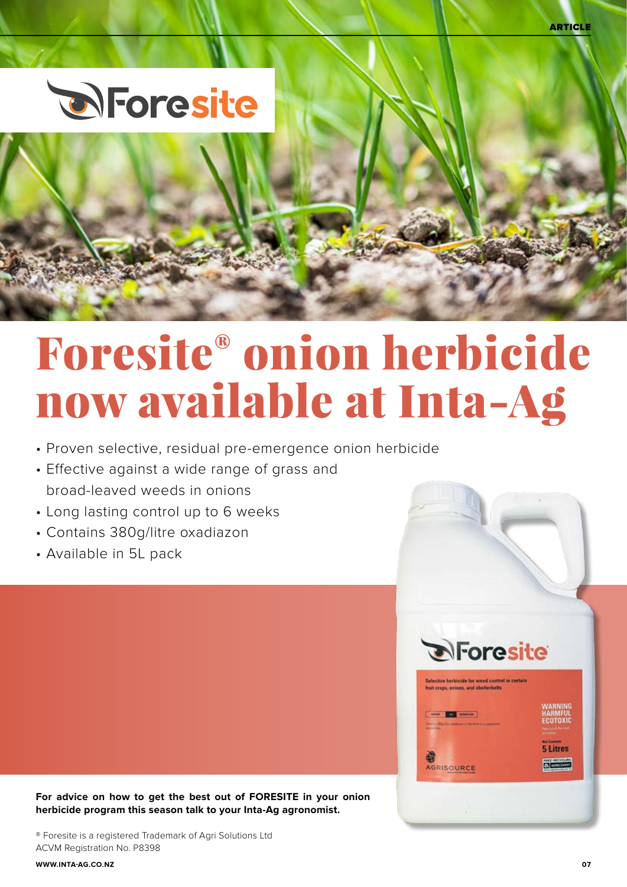ARTICLE



# Foresite® onion herbicide now available at Inta-Ag

- Proven selective, residual pre-emergence onion herbicide
- Effective against a wide range of grass and broad-leaved weeds in onions
- Long lasting control up to 6 weeks
- Contains 380g/litre oxadiazon
- Available in 5L pack

**For advice on how to get the best out of FORESITE in your onion herbicide program this season talk to your Inta-Ag agronomist.**

® Foresite is a registered Trademark of Agri Solutions Ltd ACVM Registration No. P8398

HAHMFUI<br>FCOTOXII

**5 Litres** 

**D**Foresite

elective herbicide for weed control in certain<br>sit crops, oxions, and shelterbelts

**Brill** Hancor

AGRISOURCE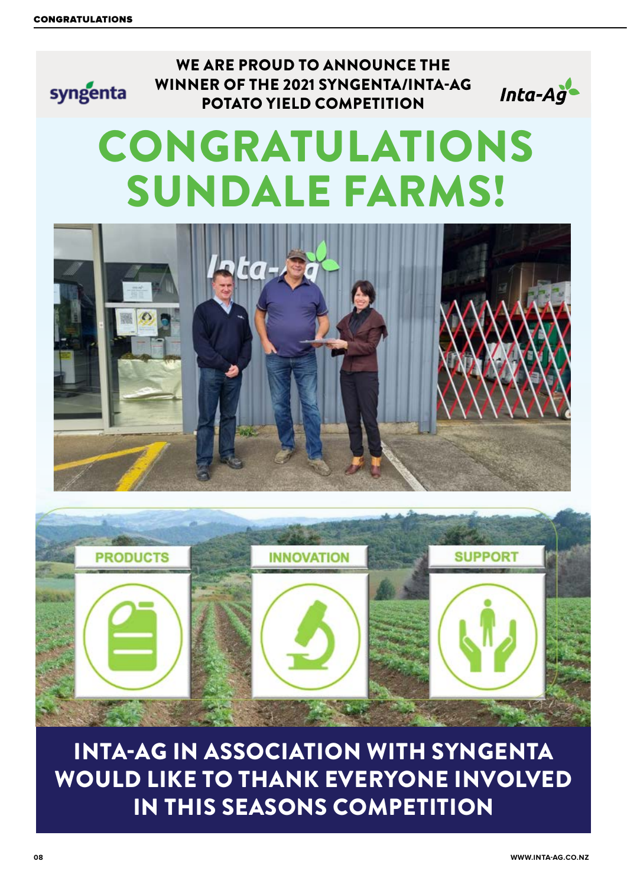## WE ARE PROUD TO ANNOUNCE THE WINNER OF THE 2021 SYNGENTA/INTA-AG syngenta Inta-Ag POTATO YIELD COMPETITION CONGRATULATIONS SUNDALE FARMS!



INTA-AG IN ASSOCIATION WITH SYNGENTA WOULD LIKE TO THANK EVERYONE INVOLVED IN THIS SEASONS COMPETITION

**08 WWW.INTA-AG.CO.NZ**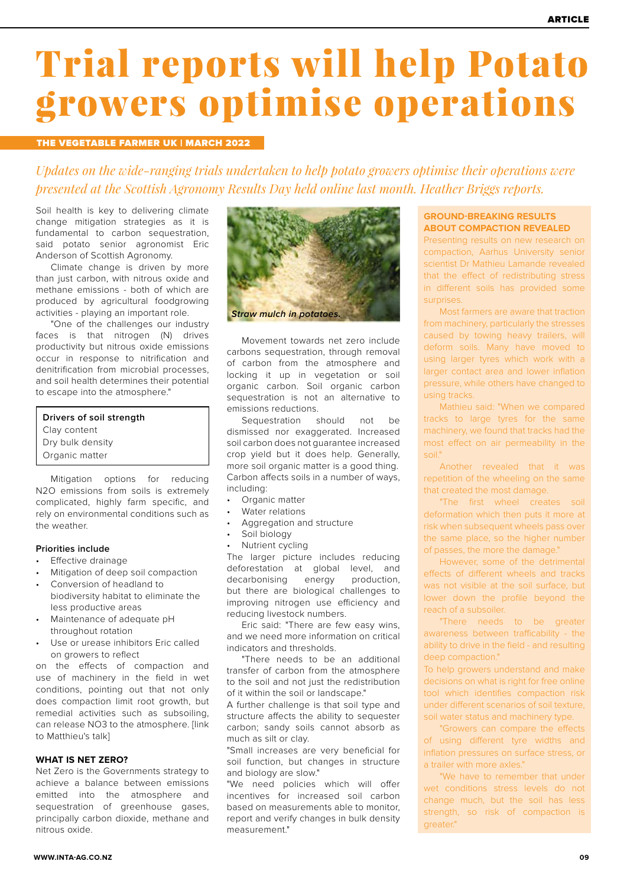### Trial reports will help Potato growers optimise operations

### THE VEGETABLE FARMER UK | MARCH 2022

*Updates on the wide-ranging trials undertaken to help potato growers optimise their operations were presented at the Scottish Agronomy Results Day held online last month. Heather Briggs reports.* 

Soil health is key to delivering climate change mitigation strategies as it is fundamental to carbon sequestration, said potato senior agronomist Eric Anderson of Scottish Agronomy.

Climate change is driven by more than just carbon, with nitrous oxide and methane emissions - both of which are produced by agricultural foodgrowing activities - playing an important role.

"One of the challenges our industry faces is that nitrogen (N) drives productivity but nitrous oxide emissions occur in response to nitrification and denitrification from microbial processes, and soil health determines their potential to escape into the atmosphere."

**Drivers of soil strength**  Clay content Dry bulk density Organic matter

Mitigation options for reducing N2O emissions from soils is extremely complicated, highly farm specific, and rely on environmental conditions such as the weather.

#### **Priorities include**

- Effective drainage
- Mitigation of deep soil compaction
- Conversion of headland to biodiversity habitat to eliminate the less productive areas
- Maintenance of adequate pH throughout rotation
- Use or urease inhibitors Eric called on growers to reflect

on the effects of compaction and use of machinery in the field in wet conditions, pointing out that not only does compaction limit root growth, but remedial activities such as subsoiling, can release NO3 to the atmosphere. [link to Matthieu's talk]

#### **WHAT IS NET ZERO?**

Net Zero is the Governments strategy to achieve a balance between emissions emitted into the atmosphere and sequestration of greenhouse gases, principally carbon dioxide, methane and nitrous oxide.



Movement towards net zero include carbons sequestration, through removal of carbon from the atmosphere and locking it up in vegetation or soil organic carbon. Soil organic carbon sequestration is not an alternative to emissions reductions.

Sequestration should not be dismissed nor exaggerated. Increased soil carbon does not guarantee increased crop yield but it does help. Generally, more soil organic matter is a good thing. Carbon affects soils in a number of ways, including:

- Organic matter
- Water relations
- Aggregation and structure
- Soil biology
- Nutrient cycling

The larger picture includes reducing deforestation at global level, and decarbonising energy production, but there are biological challenges to improving nitrogen use efficiency and reducing livestock numbers.

Eric said: "There are few easy wins, and we need more information on critical indicators and thresholds.

"There needs to be an additional transfer of carbon from the atmosphere to the soil and not just the redistribution of it within the soil or landscape."

A further challenge is that soil type and structure affects the ability to sequester carbon; sandy soils cannot absorb as much as silt or clay.

"Small increases are very beneficial for soil function, but changes in structure and biology are slow."

"We need policies which will offer incentives for increased soil carbon based on measurements able to monitor, report and verify changes in bulk density measurement."

#### **GROUND-BREAKING RESULTS ABOUT COMPACTION REVEALED**

Presenting results on new research on compaction, Aarhus University senior scientist Dr Mathieu Lamande revealed that the effect of redistributing stress in different soils has provided some surprises.

Most farmers are aware that traction from machinery, particularly the stresses caused by towing heavy trailers, will deform soils. Many have moved to using larger tyres which work with a larger contact area and lower inflation pressure, while others have changed to using tracks.

Mathieu said: "When we compared tracks to large tyres for the same machinery, we found that tracks had the most effect on air permeability in the soil."

Another revealed that it was repetition of the wheeling on the same that created the most damage.

"The first wheel creates soil deformation which then puts it more at risk when subsequent wheels pass over the same place, so the higher number of passes, the more the damage."

However, some of the detrimental effects of different wheels and tracks was not visible at the soil surface, but lower down the profile beyond the reach of a subsoiler.

"There needs to be greater awareness between trafficability - the ability to drive in the field - and resulting deep compaction."

To help growers understand and make decisions on what is right for free online tool which identifies compaction risk under different scenarios of soil texture, soil water status and machinery type.

"Growers can compare the effects of using different tyre widths and inflation pressures on surface stress, or a trailer with more axles."

'We have to remember that under wet conditions stress levels do not change much, but the soil has less strength, so risk of compaction is greater."